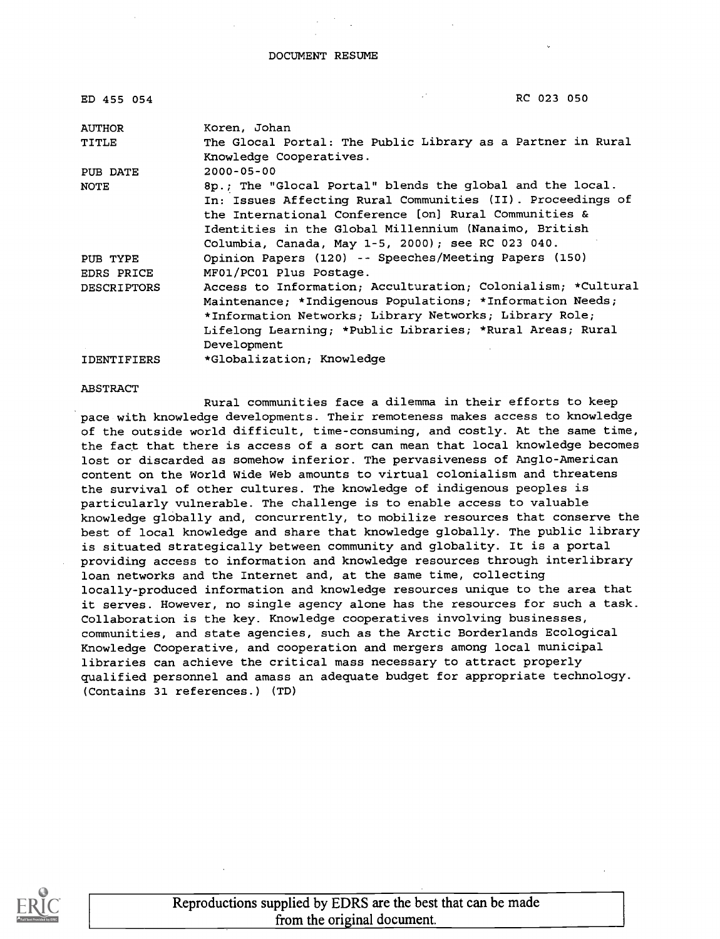DOCUMENT RESUME

| ED 455 054         | RC 023 050                                                                             |
|--------------------|----------------------------------------------------------------------------------------|
| <b>AUTHOR</b>      | Koren, Johan                                                                           |
| TITLE              | The Glocal Portal: The Public Library as a Partner in Rural<br>Knowledge Cooperatives. |
| PUB DATE           | $2000 - 05 - 00$                                                                       |
| <b>NOTE</b>        | 8p.; The "Glocal Portal" blends the global and the local.                              |
|                    | In: Issues Affecting Rural Communities (II). Proceedings of                            |
|                    | the International Conference [on] Rural Communities &                                  |
|                    | Identities in the Global Millennium (Nanaimo, British                                  |
|                    | Columbia, Canada, May 1-5, 2000); see RC 023 040.                                      |
| PUB TYPE           | Opinion Papers (120) -- Speeches/Meeting Papers (150)                                  |
| EDRS PRICE         | MF01/PC01 Plus Postage.                                                                |
| <b>DESCRIPTORS</b> | Access to Information; Acculturation; Colonialism; *Cultural                           |
|                    | Maintenance; *Indigenous Populations; *Information Needs;                              |
|                    | *Information Networks; Library Networks; Library Role;                                 |
|                    | Lifelong Learning; *Public Libraries; *Rural Areas; Rural                              |
|                    | Development                                                                            |
| <b>IDENTIFIERS</b> | *Globalization; Knowledge                                                              |

#### ABSTRACT

Rural communities face a dilemma in their efforts to keep pace with knowledge developments. Their remoteness makes access to knowledge of the outside world difficult, time-consuming, and costly. At the same time, the fact that there is access of a sort can mean that local knowledge becomes lost or discarded as somehow inferior. The pervasiveness of Anglo-American content on the World Wide Web amounts to virtual colonialism and threatens the survival of other cultures. The knowledge of indigenous peoples is particularly vulnerable. The challenge is to enable access to valuable knowledge globally and, concurrently, to mobilize resources that conserve the best of local knowledge and share that knowledge globally. The public library is situated strategically between community and globality. It is a portal providing access to information and knowledge resources through interlibrary loan networks and the Internet and, at the same time, collecting locally-produced information and knowledge resources unique to the area that it serves. However, no single agency alone has the resources for such a task. Collaboration is the key. Knowledge cooperatives involving businesses, communities, and state agencies, such as the Arctic Borderlands Ecological Knowledge Cooperative, and cooperation and mergers among local municipal libraries can achieve the critical mass necessary to attract properly qualified personnel and amass an adequate budget for appropriate technology. (Contains 31 references.) (TD)



Reproductions supplied by EDRS are the best that can be made from the original document.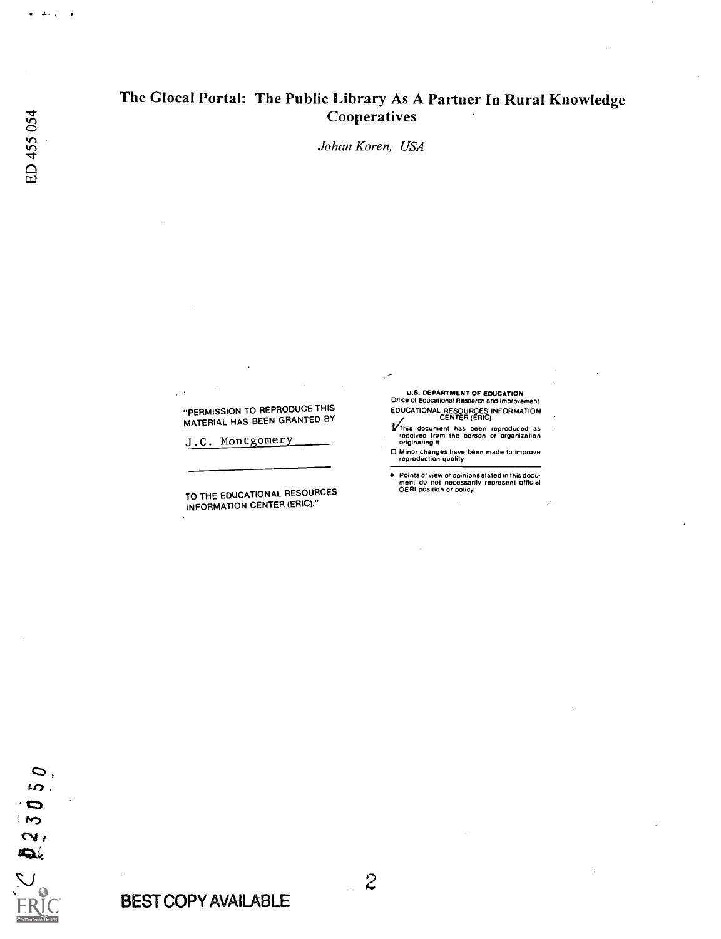# The Glocal Portal: The Public Library As A Partner In Rural Knowledge **Cooperatives**

Johan Koren, USA

"PERMISSION TO REPRODUCE THIS MATERIAL HAS BEEN GRANTED BY

J.C. Montgomery

TO THE EDUCATIONAL RESOURCES INFORMATION CENTER (ERIC)."

U.S. DEPARTMENT OF EDUCATION Office of Educational Research and Improvement EDUCATIONAL RESOURCES INFORMATION CENTER (ERIC)

**if** This document has been reproduced as<br>received from the person or organization<br>originating it.

O Minor changes have been made to improve reproduction quality.

 $\bullet$ Points of view or opinions stated in this docu-ment do not necessarily represent official OERI position or policy.

 $\Delta \sim 10$  $\overline{\phantom{a}}$ 

BEST COPY AVAILABLE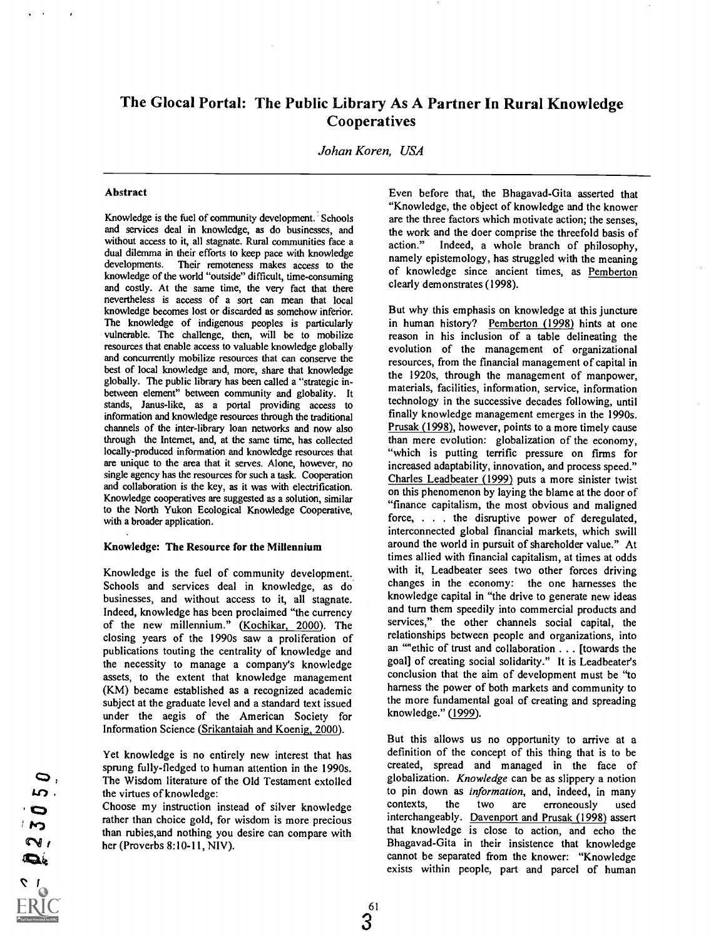## The Glocal Portal: The Public Library As A Partner In Rural Knowledge **Cooperatives**

Johan Koren, USA

#### Abstract

Knowledge is the fuel of community development. Schools and services deal in knowledge, as do businesses, and without access to it, all stagnate. Rural communities face a action." dual dilemma in their efforts to keep pace with knowledge developments. Their remoteness makes access to the knowledge of the world "outside" difficult, time-consuming and costly. At the same time, the very fact that there nevertheless is access of a sort can mean that local knowledge becomes lost or discarded as somehow inferior. The knowledge of indigenous peoples is particularly vulnerable. The challenge, then, will be to mobilize resources that enable access to valuable knowledge globally and concurrently mobilize resources that can conserve the best of local knowledge and, more, share that knowledge globally. The public library has been called a "strategic inbetween element" between community and globality. It stands, Janus-like, as a portal providing access to information and knowledge resources through the traditional channels of the inter-library loan networks and now also through the Internet, and, at the same time, has collected locally-produced information and knowledge resources that are unique to the area that it serves. Alone, however, no single agency has the resources for such a task. Cooperation and collaboration is the key, as it was with electrification. Knowledge cooperatives are suggested as a solution, similar to the North Yukon Ecological Knowledge Cooperative, with a broader application.

#### Knowledge: The Resource for the Millennium

Knowledge is the fuel of community development. Schools and services deal in knowledge, as do businesses, and without access to it, all stagnate. Indeed, knowledge has been proclaimed "the currency of the new millennium." (Kochikar, 2000). The closing years of the 1990s saw a proliferation of publications touting the centrality of knowledge and the necessity to manage a company's knowledge assets, to the extent that knowledge management (KM) became established as a recognized academic subject at the graduate level and a standard text issued under the aegis of the American Society for Information Science (Srikantaiah and Koenig, 2000).

Yet knowledge is no entirely new interest that has sprung fully-fledged to human attention in the 1990s. The Wisdom literature of the Old Testament extolled the virtues of knowledge:

Choose my instruction instead of silver knowledge rather than choice gold, for wisdom is more precious than rubies,and nothing you desire can compare with her (Proverbs 8:10-11, NIV).

Even before that, the Bhagavad-Gita asserted that "Knowledge, the object of knowledge and the knower are the three factors which motivate action; the senses, the work and the doer comprise the threefold basis of Indeed, a whole branch of philosophy, namely epistemology, has struggled with the meaning of knowledge since ancient times, as Pemberton clearly demonstrates (1998).

But why this emphasis on knowledge at this juncture in human history? Pemberton (1998) hints at one reason in his inclusion of a table delineating the evolution of the management of organizational resources, from the financial management of capital in the 1920s, through the management of manpower, materials, facilities, information, service, information technology in the successive decades following, until finally knowledge management emerges in the 1990s. Prusak (1998), however, points to a more timely cause than mere evolution: globalization of the economy, "which is putting terrific pressure on firms for increased adaptability, innovation, and process speed." Charles Leadbeater (1999) puts a more sinister twist on this phenomenon by laying the blame at the door of "finance capitalism, the most obvious and maligned force, . . . the disruptive power of deregulated, interconnected global financial markets, which swill around the world in pursuit of shareholder value." At times allied with financial capitalism, at times at odds with it, Leadbeater sees two other forces driving changes in the economy: the one harnesses the knowledge capital in "the drive to generate new ideas and turn them speedily into commercial products and services," the other channels social capital, the relationships between people and organizations, into an "ethic of trust and collaboration . . . [towards the goal] of creating social solidarity." It is Leadbeater's conclusion that the aim of development must be "to harness the power of both markets and community to the more fundamental goal of creating and spreading knowledge." (1999).

But this allows us no opportunity to arrive at a definition of the concept of this thing that is to be created, spread and managed in the face of globalization. Knowledge can be as slippery a notion to pin down as *information*, and, indeed, in many contexts, the two are erroneously used are erroneously used interchangeably. Davenport and Prusak (1998) assert that knowledge is close to action, and echo the Bhagavad-Gita in their insistence that knowledge cannot be separated from the knower: "Knowledge exists within people, part and parcel of human

 $\bullet$ in.  $\bullet$  $\boldsymbol{\kappa}$  $\sim$  $\boldsymbol{\Omega}_k$ 

 $3^{61}$ 3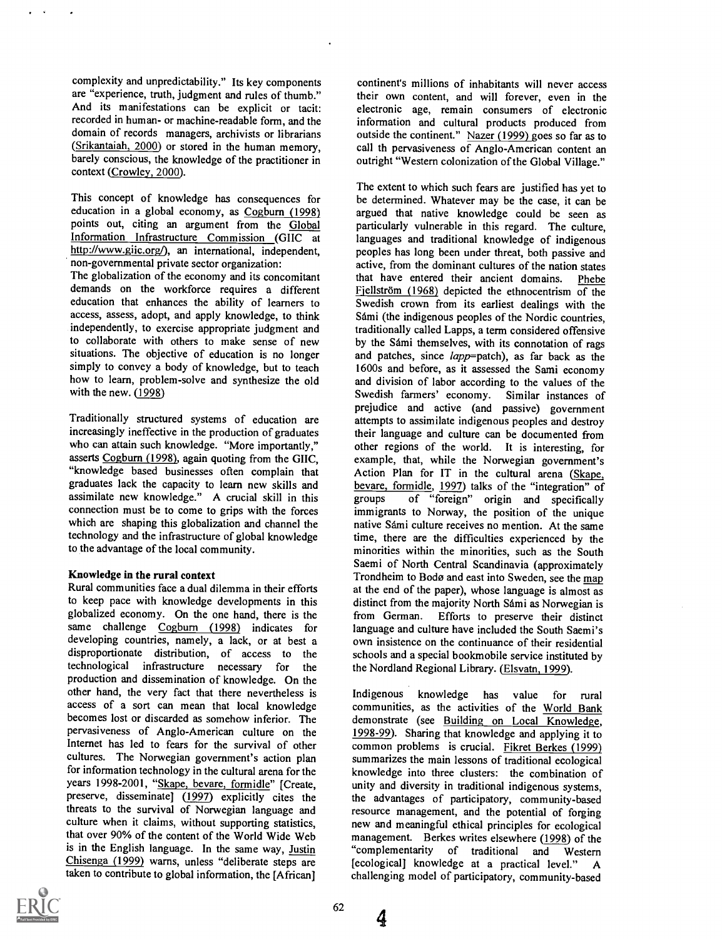complexity and unpredictability." Its key components are "experience, truth, judgment and rules of thumb." And its manifestations can be explicit or tacit: recorded in human- or machine-readable form, and the domain of records managers, archivists or librarians (Srikantaiah, 2000) or stored in the human memory, barely conscious, the knowledge of the practitioner in context (Crowley, 2000).

This concept of knowledge has consequences for education in a global economy, as Cogburn (1998) points out, citing an argument from the Global Information Infrastructure Commission (GIIC at http://www.giic.org/), an international, independent, non-governmental private sector organization:

The globalization of the economy and its concomitant demands on the workforce requires a different education that enhances the ability of learners to access, assess, adopt, and apply knowledge, to think independently, to exercise appropriate judgment and to collaborate with others to make sense of new situations. The objective of education is no longer simply to convey a body of knowledge, but to teach how to learn, problem-solve and synthesize the old with the new. (1998)

Traditionally structured systems of education are increasingly ineffective in the production of graduates who can attain such knowledge. "More importantly," asserts Cogburn (1998), again quoting from the GIIC, "knowledge based businesses often complain that graduates lack the capacity to learn new skills and assimilate new knowledge." A crucial skill in this connection must be to come to grips with the forces which are shaping this globalization and channel the technology and the infrastructure of global knowledge to the advantage of the local community.

### Knowledge in the rural context

Rural communities face a dual dilemma in their efforts to keep pace with knowledge developments in this globalized economy. On the one hand, there is the same challenge Cogburn (1998) indicates for developing countries, namely, a lack, or at best a disproportionate distribution, of access to the technological infrastructure necessary for the production and dissemination of knowledge. On the other hand, the very fact that there nevertheless is access of a sort can mean that local knowledge becomes lost or discarded as somehow inferior. The pervasiveness of Anglo-American culture on the Internet has led to fears for the survival of other cultures. The Norwegian government's action plan for information technology in the cultural arena for the years 1998-2001, "Skape, bevare, formidle" [Create, preserve, disseminate] (1997) explicitly cites the threats to the survival of Norwegian language and culture when it claims, without supporting statistics, that over 90% of the content of the World Wide Web is in the English language. In the same way, Justin Chisenga (1999) warns, unless "deliberate steps are taken to contribute to global information, the [African]

continent's millions of inhabitants will never access their own content, and will forever, even in the electronic age, remain consumers of electronic information and cultural products produced from outside the continent." Nazer (1999) goes so far as to call th pervasiveness of Anglo-American content an outright "Western colonization of the Global Village."

The extent to which such fears are justified has yet to be determined. Whatever may be the case, it can be argued that native knowledge could be seen as particularly vulnerable in this regard. The culture, languages and traditional knowledge of indigenous peoples has long been under threat, both passive and active, from the dominant cultures of the nation states that have entered their ancient domains. Phebe Fiellström (1968) depicted the ethnocentrism of the Swedish crown from its earliest dealings with the Sdmi (the indigenous peoples of the Nordic countries, traditionally called Lapps, a term considered offensive by the Sámi themselves, with its connotation of rags and patches, since lapp=patch), as far back as the 1600s and before, as it assessed the Sami economy and division of labor according to the values of the Swedish farmers' economy. prejudice and active (and passive) government attempts to assimilate indigenous peoples and destroy their language and culture can be documented from other regions of the world. It is interesting, for example, that, while the Norwegian government's Action Plan for IT in the cultural arena (Skape, bevare, formidle, 1997) talks of the "integration" of of "foreign" origin and specifically immigrants to Norway, the position of the unique native Sámi culture receives no mention. At the same time, there are the difficulties experienced by the minorities within the minorities, such as the South Saemi of North Central Scandinavia (approximately Trondheim to Bodø and east into Sweden, see the map at the end of the paper), whose language is almost as distinct from the majority North Sámi as Norwegian is from German. Efforts to preserve their distinct language and culture have included the South Saemi's own insistence on the continuance of their residential schools and a special bookmobile service instituted by the Nordland Regional Library. (Elsvatn, 1999).

Indigenous knowledge has value for rural communities, as the activities of the World Bank demonstrate (see Building on Local Knowledge, 1998-99). Sharing that knowledge and applying it to common problems is crucial. Fikret Berkes (1999) summarizes the main lessons of traditional ecological knowledge into three clusters: the combination of unity and diversity in traditional indigenous systems, the advantages of participatory, community-based resource management, and the potential of forging new and meaningful ethical principles for ecological management. Berkes writes elsewhere (1998) of the "complementarity of traditional and Western [ecological] knowledge at a practical level." A challenging model of participatory, community-based



4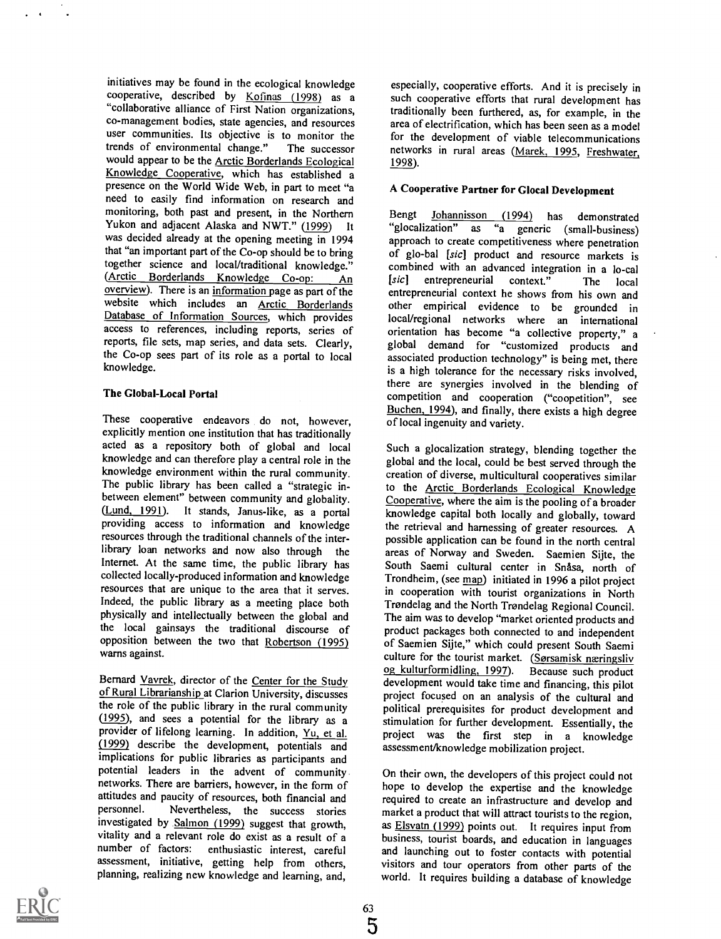initiatives may be found in the ecological knowledge cooperative, described by Kofinas (1998) as a "collaborative alliance of First Nation organizations, co-management bodies, state agencies, and resources user communities. Its objective is to monitor the trends of environmental change." The successor would appear to be the Arctic Borderlands Ecological Knowledge Cooperative, which has established a presence on the World Wide Web, in part to meet "a need to easily find information on research and monitoring, both past and present, in the Northern Yukon and adjacent Alaska and NWT." (1999) It was decided already at the opening meeting in 1994 that "an important part of the Co-op should be to bring together science and local/traditional knowledge." (Arctic Borderlands Knowledge Co-op: An overview). There is an information page as part of the website which includes an Arctic Borderlands Database of Information Sources, which provides access to references, including reports, series of reports, file sets, map series, and data sets. Clearly, the Co-op sees part of its role as a portal to local knowledge.

## The Global-Local Portal

These cooperative endeavors do not, however, explicitly mention one institution that has traditionally acted as a repository both of global and local knowledge and can therefore play a central role in the knowledge environment within the rural community. The public library has been called a "strategic inbetween element" between community and globality. (Lund, 1991). It stands, Janus-like, as a portal providing access to information and knowledge resources through the traditional channels of the interlibrary loan networks and now also through the Internet. At the same time, the public library has South Saemi cultural center in Snåsa, north of collected locally-produced information and knowledge resources that are unique to the area that it serves. Indeed, the public library as a meeting place both physically and intellectually between the global and the local gainsays the traditional discourse of opposition between the two that Robertson (1995) warns against.

Bernard Vavrek, director of the Center for the Study of Rural Librarianship at Clarion University, discusses the role of the public library in the rural community (1995), and sees a potential for the library as a provider of lifelong learning. In addition, Yu, et al. (1999) describe the development, potentials and implications for public libraries as participants and potential leaders in the advent of community networks. There are barriers, however, in the form of attitudes and paucity of resources, both financial and Nevertheless, the success stories investigated by Salmon (1999) suggest that growth, vitality and a relevant role do exist as a result of a number of factors: enthusiastic interest, careful assessment, initiative, getting help from others, planning, realizing new knowledge and learning, and,

especially, cooperative efforts. And it is precisely in such cooperative efforts that rural development has traditionally been furthered, as, for example, in the area of electrification, which has been seen as a model for the development of viable telecommunications networks in rural areas (Marek, 1995, Freshwater, 1998).

## A Cooperative Partner for Glocal Development

Johannisson (1994) has demonstrated "glocalization" as "a generic (small-business) approach to create competitiveness where penetration of glo-bal [sic] product and resource markets is combined with an advanced integration in a lo-cal<br>[sic] entrepreneurial context." The local entrepreneurial context." The local entrepreneurial context he shows from his own and other empirical evidence to be grounded in local/regional networks where an international orientation has become "a collective property," a global demand for "customized products and associated production technology" is being met, there is a high tolerance for the necessary risks involved, there are synergies involved in the blending of competition and cooperation ("coopetition", see Buchen, 1994), and finally, there exists a high degree of local ingenuity and variety.

Such a glocalization strategy, blending together the global and the local, could be best served through the creation of diverse, multicultural cooperatives similar to the Arctic Borderlands Ecological Knowledge Cooperative, where the aim is the pooling of a broader knowledge capital both locally and globally, toward the retrieval and harnessing of greater resources. A possible application can be found in the north central areas of Norway and Sweden. Saemien Sijte, the Trondheim, (see map) initiated in 1996 a pilot project in cooperation with tourist organizations in North Trondelag and the North Trondelag Regional Council. The aim was to develop "market oriented products and product packages both connected to and independent of Saemien Sijte," which could present South Saemi culture for the tourist market. (Sørsamisk næringsliv og kulturformidling, 1997). Because such product development would take time and financing, this pilot project focused on an analysis of the cultural and political prerequisites for product development and stimulation for further development. Essentially, the project was the first step in a knowledge assessment/knowledge mobilization project.

On their own, the developers of this project could not hope to develop the expertise and the knowledge required to create an infrastructure and develop and market a product that will attract tourists to the region, as **Elsvatn (1999)** points out. It requires input from business, tourist boards, and education in languages and launching out to foster contacts with potential visitors and tour operators from other parts of the world. It requires building a database of knowledge

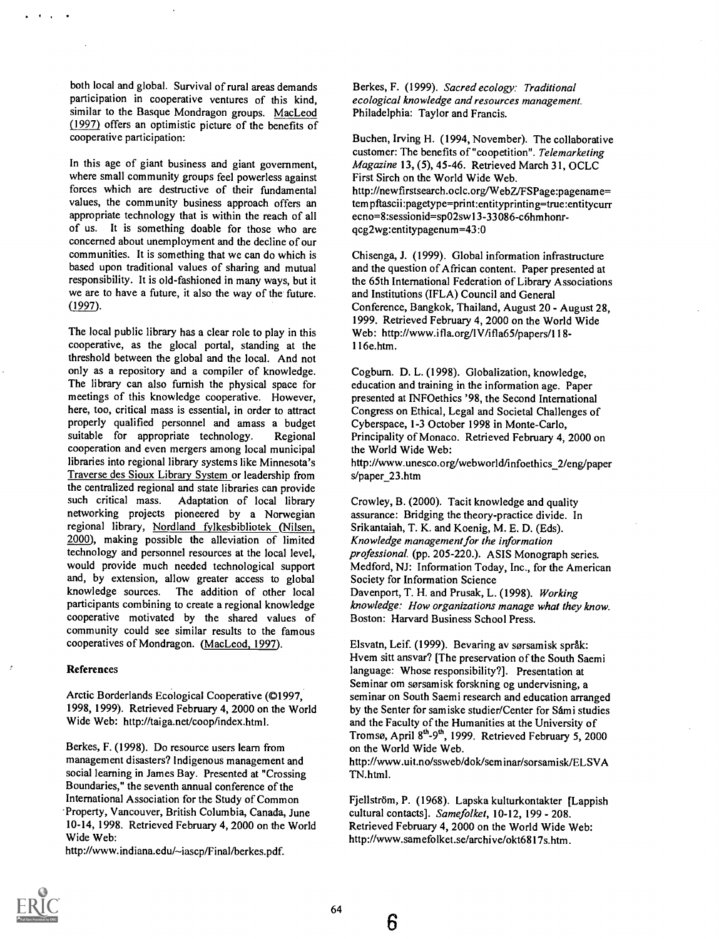both local and global. Survival of rural areas demands participation in cooperative ventures of this kind, similar to the Basque Mondragon groups. MacLeod (1997) offers an optimistic picture of the benefits of cooperative participation:

In this age of giant business and giant government, where small community groups feel powerless against forces which are destructive of their fundamental values, the community business approach offers an appropriate technology that is within the reach of all of us. It is something doable for those who are concerned about unemployment and the decline of our communities. It is something that we can do which is based upon traditional values of sharing and mutual responsibility. It is old-fashioned in many ways, but it we are to have a future, it also the way of the future. (1997).

The local public library has a clear role to play in this cooperative, as the glocal portal, standing at the threshold between the global and the local. And not only as a repository and a compiler of knowledge. The library can also furnish the physical space for meetings of this knowledge cooperative. However, here, too, critical mass is essential, in order to attract properly qualified personnel and amass a budget suitable for appropriate technology. Regional cooperation and even mergers among local municipal libraries into regional library systems like Minnesota's Traverse des Sioux Library System or leadership from the centralized regional and state libraries can provide such critical mass. Adaptation of local library networking projects pioneered by a Norwegian regional library, Nordland fylkesbibliotek (Nilsen, 2000), making possible the alleviation of limited technology and personnel resources at the local level, would provide much needed technological support and, by extension, allow greater access to global knowledge sources. The addition of other local participants combining to create a regional knowledge cooperative motivated by the shared values of community could see similar results to the famous cooperatives of Mondragon. (MacLeod, 1997).

#### References

Arctic Borderlands Ecological Cooperative (©1997, 1998, 1999). Retrieved February 4, 2000 on the World Wide Web: http://taiga.net/coop/index.html.

Berkes, F. (1998). Do resource users learn from management disasters? Indigenous management and social learning in James Bay. Presented at "Crossing Boundaries," the seventh annual conference of the International Association for the Study of Common Property, Vancouver, British Columbia, Canada, June 10-14, 1998. Retrieved February 4, 2000 on the World Wide Web:

http://www.indiana.edu/~iascp/Final/berkes.pdf.

Berkes, F. (1999). Sacred ecology: Traditional ecological knowledge and resources management. Philadelphia: Taylor and Francis.

Buchen, Irving H. (1994, November). The collaborative customer: The benefits of "coopetition". Telemarketing Magazine 13, (5), 45-46. Retrieved March 31, OCLC First Sirch on the World Wide Web. http://newfirstsearch.ocic.org/WebZJFSPage:pagename= tempftascii:pagetype=print:entityprinting=true:entitycurr ecno=8:sessionid=sp02sw13-33086-c6hmhonrqcg2wg:entitypagenum=43:0

Chisenga, J. (1999). Global information infrastructure and the question of African content. Paper presented at the 65th International Federation of Library Associations and Institutions (IFLA) Council and General Conference, Bangkok, Thailand, August 20 - August 28, 1999. Retrieved February 4, 2000 on the World Wide Web: http://www.ifla.org/IV/ifla65/papers/118-116e.htm.

Cogburn. D. L. (1998). Globalization, knowledge, education and training in the information age. Paper presented at INFOethics '98, the Second International Congress on Ethical, Legal and Societal Challenges of Cyberspace, 1-3 October 1998 in Monte-Carlo, Principality of Monaco. Retrieved February 4, 2000 on the World Wide Web: http://www.unesco.org/webworld/infoethics\_2/eng/paper

s/paper\_23.htm

Crowley, B. (2000). Tacit knowledge and quality assurance: Bridging the theory-practice divide. In Srikantaiah, T. K. and Koenig, M. E. D. (Eds). Knowledge management for the information professional. (pp. 205-220.). ASIS Monograph series. Medford, NJ: Information Today, Inc., for the American Society for Information Science Davenport, T. H. and Prusak, L. (1998). Working knowledge: How organizations manage what they know. Boston: Harvard Business School Press.

Elsvatn, Leif. (1999). Bevaring av sørsamisk språk: Hvem sitt ansvar? [The preservation of the South Saemi language: Whose responsibility?]. Presentation at Seminar om sorsamisk forskning og undervisning, a seminar on South Saemi research and education arranged by the Senter for samiske studier/Center for Sámi studies and the Faculty of the Humanities at the University of Tromsø, April 8<sup>th</sup>-9<sup>th</sup>, 1999. Retrieved February 5, 2000 on the World Wide Web.

http://www.uit.no/ssweb/dok/seminar/sorsamisk/ELSVA TN.html.

Fjellström, P. (1968). Lapska kulturkontakter [Lappish cultural contacts]. Samefolket, 10-12, 199 - 208. Retrieved February 4, 2000 on the World Wide Web: http://www.samefolket.se/archive/okt6817s.htm.



 $64$  6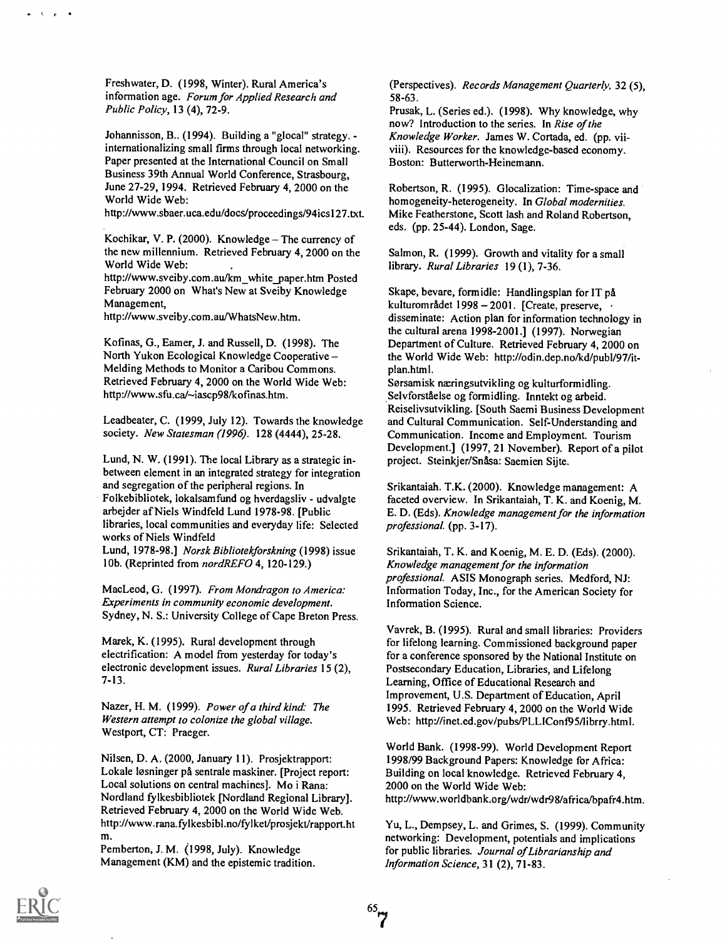Freshwater, D. (1998, Winter). Rural America's information age. Forum for Applied Research and Public Policy, 13 (4), 72-9.

Johannisson, B.. (1994). Building a "glocal" strategy. internationalizing small firms through local networking. Paper presented at the International Council on Small Business 39th Annual World Conference, Strasbourg, June 27-29, 1994. Retrieved February 4, 2000 on the World Wide Web:

http://www.sbaer.uca.edu/docs/proceedings/94ics127.txt.

Kochikar, V. P. (2000). Knowledge  $-$  The currency of the new millennium. Retrieved February 4, 2000 on the World Wide Web:

http://www.sveiby.com.au/km\_white\_paper.htm Posted February 2000 on What's New at Sveiby Knowledge Management,

http://www.sveiby.com.au/WhatsNew.htm.

Kofinas, G., Eamer, J. and Russell, D. (1998). The North Yukon Ecological Knowledge Cooperative Melding Methods to Monitor a Caribou Commons. Retrieved February 4, 2000 on the World Wide Web: http://www.sfu.ca/~iascp98/kofinas.htm.

Leadbeater, C. (1999, July 12). Towards the knowledge society. New Statesman (1996). 128 (4444), 25-28.

Lund, N. W. (1991). The local Library as a strategic inbetween element in an integrated strategy for integration and segregation of the peripheral regions. In

Folkebibliotek, lokalsamfund og hverdagsliv - udvalgte arbejder af Niels Windfeld Lund 1978-98. [Public libraries, local communities and everyday life: Selected works of Niels Windfeld

Lund, 1978-98.] Norsk Bibliotekforskning (1998) issue 10b. (Reprinted from nordREFO 4, 120-129.)

MacLeod, G. (1997). From Mondragon to America: Experiments in community economic development. Sydney, N. S.: University College of Cape Breton Press.

Marek, K. (1995). Rural development through electrification: A model from yesterday for today's electronic development issues. Rural Libraries 15 (2), 7-13.

Nazer, H. M. (1999). Power of a third kind: The Western attempt to colonize the global village. Westport, CT: Praeger.

Nilsen, D. A. (2000, January 11). Prosjektrapport: Lokale løsninger på sentrale maskiner. [Project report: Local solutions on central machines]. Mo i Rana: Nordland fylkesbibliotek [Nordland Regional Library]. Retrieved February 4, 2000 on the World Wide Web. http://www.rana.fylkesbibl.no/fylket/prosjekt/rapport.ht m.

Pemberton, J. M. (1998, July). Knowledge Management (KM) and the epistemic tradition. (Perspectives). Records Management Quarterly, 32 (5), 58-63.

Prusak, L. (Series ed.). (1998). Why knowledge, why now? Introduction to the series. In Rise of the Knowledge Worker. James W. Cortada, ed. (pp. viiviii). Resources for the knowledge-based economy. Boston: Butterworth-Heinemann.

Robertson, R. (1995). Glocalization: Time-space and homogeneity-heterogeneity. In Global modernities. Mike Featherstone, Scott lash and Roland Robertson, eds. (pp. 25-44). London, Sage.

Salmon, R. (1999). Growth and vitality for a small library. Rural Libraries 19 (1), 7-36.

Skape, bevare, formidle: Handlingsplan for IT pa kulturområdet 1998 – 2001. [Create, preserve, disseminate: Action plan for information technology in the cultural arena 1998-2001.] (1997). Norwegian Department of Culture. Retrieved February 4, 2000 on the World Wide Web: http://odin.dep.no/kd/pub1/97/itplan.html.

Sørsamisk næringsutvikling og kulturformidling. Selvforståelse og formidling. Inntekt og arbeid. Reiselivsutvikling. [South Saemi Business Development and Cultural Communication. Self-Understanding and Communication. Income and Employment. Tourism Development.] (1997, 21 November). Report of a pilot project. Steinkjer/SnAsa: Saemien Sijte.

Srikantaiah. T.K. (2000). Knowledge management: A faceted overview. In Srikantaiah, T. K. and Koenig, M. E. D. (Eds). Knowledge management for the information professional. (pp. 3-17).

Srikantaiah, T. K. and Koenig, M. E. D. (Eds). (2000). Knowledge management for the information professional. ASIS Monograph series. Medford, NJ: Information Today, Inc., for the American Society for Information Science.

Vavrek, B. (1995). Rural and small libraries: Providers for lifelong learning. Commissioned background paper for a conference sponsored by the National Institute on Postsecondary Education, Libraries, and Lifelong Learning, Office of Educational Research and Improvement, U.S. Department of Education, April 1995. Retrieved February 4, 2000 on the World Wide Web: http://inet.ed.gov/pubs/PLLIConf95/librry.html.

World Bank. (1998-99). World Development Report 1998/99 Background Papers: Knowledge for Africa: Building on local knowledge. Retrieved February 4, 2000 on the World Wide Web: http://www.worldbank.org/wdr/wdr98/africa/bpafr4.htm.

Yu, L., Dempsey, L. and Grimes, S. (1999). Community networking: Development, potentials and implications for public libraries. Journal of Librarianship and Information Science, 31 (2), 71-83.

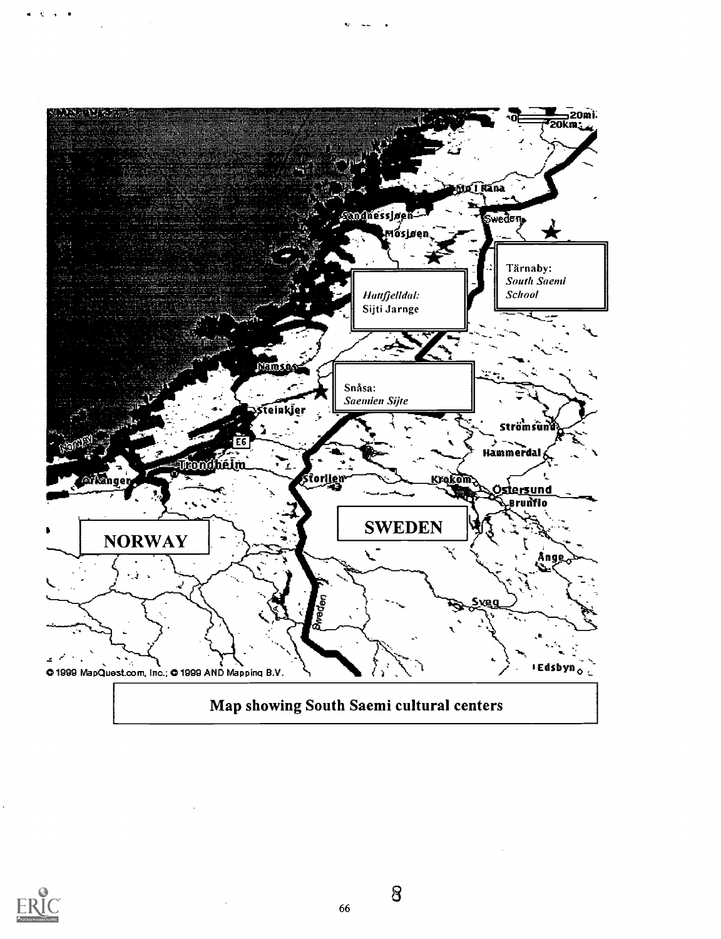



66

 $\bf 8$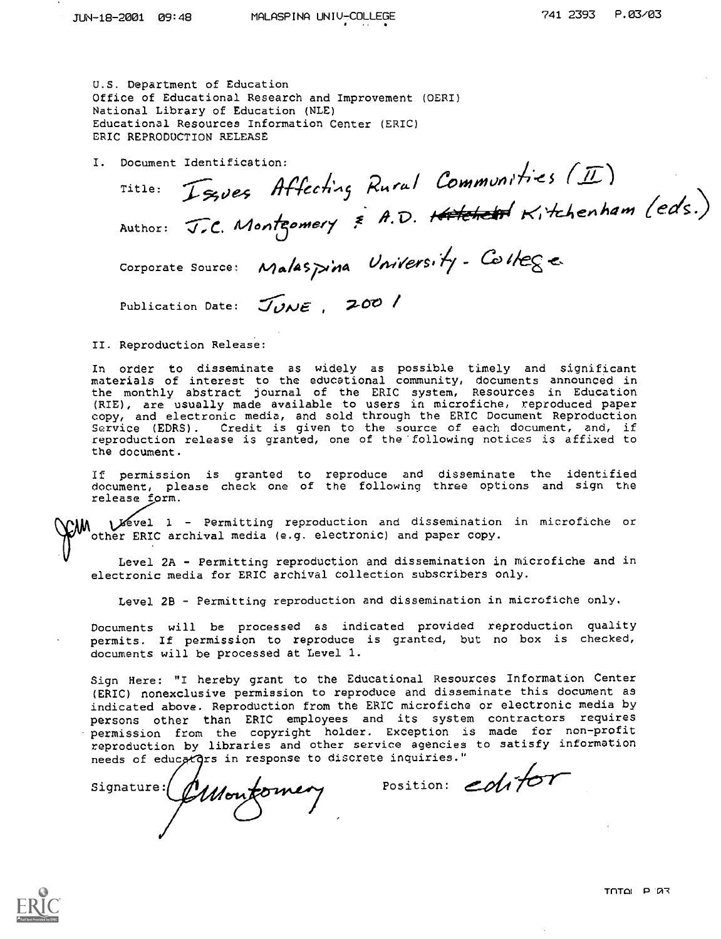U.S. Department of Education Office of Educational Research and Improvement (OERI) National Library of Education (NLE) Educational Resources Information Center (ERIC) ERIC REPRODUCTION RELEASE

I. Document Identification:

Title: Issues Affecting Rural Communities (II)<br>Author: J.C. Montgomery & A.D. Hatchett Kitchenham (eds.)

Corporate Source: Malaspina University- College

Publication Date: JUNE, 200 /

II. Reproduction Release:

In order to disseminate as widely as possible timely and significant<br>materials of interest to the educational community, documents announced in the monthly abstract journal of the ERIC system, Resources in Education (RIE), are usually made available to users in microfiche, reproduced paper copy, and electronic media, and sold through the ERIC Document Reproduction<br>Service (EDRS). Credit is given to the source of each document, and, if reproduction release is granted, one of the following notices is affixed to the document.

If permission is granted to reproduce and disseminate the identified<br>document, please check one of the following three options and sign the release form.

Vevel 1 - Permitting reproduction and dissemination in microfiche or other ERIC archival media (e.g. electronic) and paper copy.

Level 2A - Permitting reproduction and dissemination in microfiche and in electronic media for ERIC archival collection subscribers only.

Level 2B - Permitting reproduction and dissemination in microfiche only.

Documents will be processed as indicated provided reproduction quality permits. If permission to reproduce is granted, but no box is checked, documents will be processed at Level 1.

Sign Here: "I hereby grant to the Educational Resources Information Center (ERIC) nonexclusive permission to reproduce and disseminate this document as indicated above. Reproduction from the ERIC microfiche or electronic media by persons other than ERIC employees and its system contractors requires permission from the copyright holder. Exception is made for non-profit reproduction by libraries and other service agencies to satisfy information needs of educators in response to discrete inquiries."

signature: Montomery position: colifor